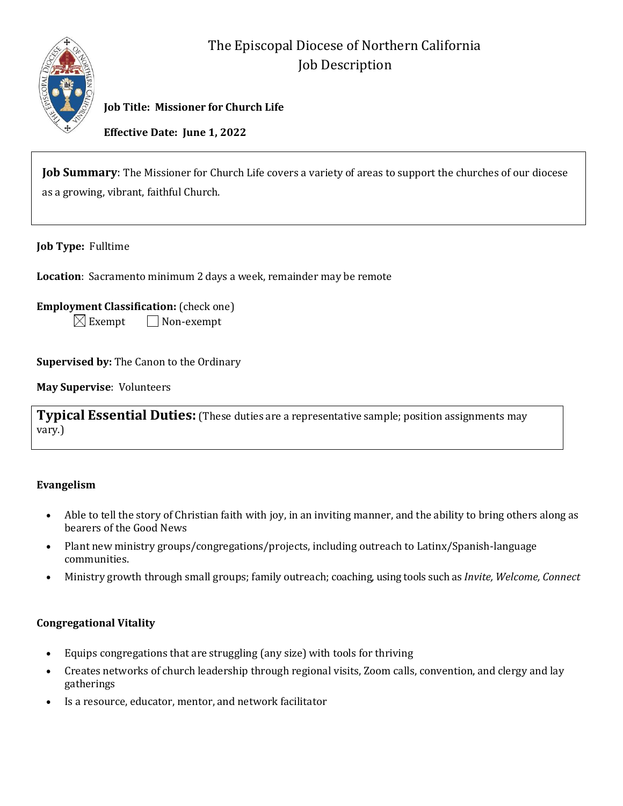

# The Episcopal Diocese of Northern California Job Description

**Job Title: Missioner for Church Life**

**Effective Date: June 1, 2022**

**Job Summary**: The Missioner for Church Life covers a variety of areas to support the churches of our diocese as a growing, vibrant, faithful Church.

**Job Type:** Fulltime

**Location**: Sacramento minimum 2 days a week, remainder may be remote

**Employment Classification:** (check one)

 $\boxtimes$  Exempt  $\Box$  Non-exempt

**Supervised by:** The Canon to the Ordinary

**May Supervise**: Volunteers

**Typical Essential Duties:** (These duties are a representative sample; position assignments may vary.)

#### **Evangelism**

- Able to tell the story of Christian faith with joy, in an inviting manner, and the ability to bring others along as bearers of the Good News
- Plant new ministry groups/congregations/projects, including outreach to Latinx/Spanish-language communities.
- Ministry growth through small groups; family outreach; coaching, using tools such as *Invite, Welcome, Connect*

## **Congregational Vitality**

- Equips congregations that are struggling (any size) with tools for thriving
- Creates networks of church leadership through regional visits, Zoom calls, convention, and clergy and lay gatherings
- Is a resource, educator, mentor, and network facilitator